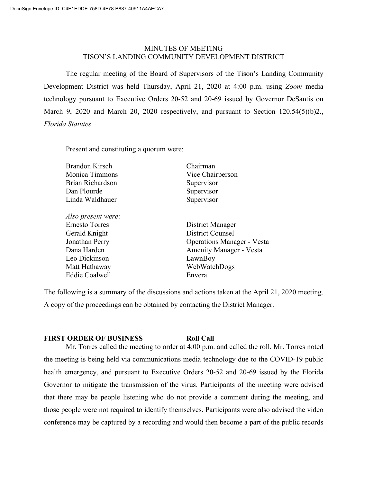## MINUTES OF MEETING TISON'S LANDING COMMUNITY DEVELOPMENT DISTRICT

The regular meeting of the Board of Supervisors of the Tison's Landing Community Development District was held Thursday, April 21, 2020 at 4:00 p.m. using *Zoom* media technology pursuant to Executive Orders 20-52 and 20-69 issued by Governor DeSantis on March 9, 2020 and March 20, 2020 respectively, and pursuant to Section 120.54(5)(b)2., *Florida Statutes*.

Present and constituting a quorum were:

| Vice Chairperson<br>Supervisor                             |
|------------------------------------------------------------|
|                                                            |
|                                                            |
| Supervisor<br>Dan Plourde<br>Linda Waldhauer<br>Supervisor |
|                                                            |
| District Manager                                           |
| District Counsel                                           |
| <b>Operations Manager - Vesta</b>                          |
| <b>Amenity Manager - Vesta</b>                             |
| LawnBoy                                                    |
| WebWatchDogs                                               |
| Envera                                                     |
|                                                            |

The following is a summary of the discussions and actions taken at the April 21, 2020 meeting. A copy of the proceedings can be obtained by contacting the District Manager.

## **FIRST ORDER OF BUSINESS Roll Call**

Mr. Torres called the meeting to order at 4:00 p.m. and called the roll. Mr. Torres noted the meeting is being held via communications media technology due to the COVID-19 public health emergency, and pursuant to Executive Orders 20-52 and 20-69 issued by the Florida Governor to mitigate the transmission of the virus. Participants of the meeting were advised that there may be people listening who do not provide a comment during the meeting, and those people were not required to identify themselves. Participants were also advised the video conference may be captured by a recording and would then become a part of the public records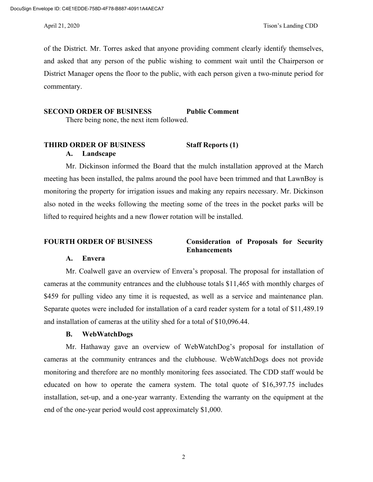of the District. Mr. Torres asked that anyone providing comment clearly identify themselves, and asked that any person of the public wishing to comment wait until the Chairperson or District Manager opens the floor to the public, with each person given a two-minute period for commentary.

#### **SECOND ORDER OF BUSINESS Public Comment**

There being none, the next item followed.

# **THIRD ORDER OF BUSINESS Staff Reports (1) A. Landscape**

Mr. Dickinson informed the Board that the mulch installation approved at the March meeting has been installed, the palms around the pool have been trimmed and that LawnBoy is monitoring the property for irrigation issues and making any repairs necessary. Mr. Dickinson also noted in the weeks following the meeting some of the trees in the pocket parks will be lifted to required heights and a new flower rotation will be installed.

### **FOURTH ORDER OF BUSINESS Consideration of Proposals for Security Enhancements**

### **A. Envera**

Mr. Coalwell gave an overview of Envera's proposal. The proposal for installation of cameras at the community entrances and the clubhouse totals \$11,465 with monthly charges of \$459 for pulling video any time it is requested, as well as a service and maintenance plan. Separate quotes were included for installation of a card reader system for a total of \$11,489.19 and installation of cameras at the utility shed for a total of \$10,096.44.

### **B. WebWatchDogs**

Mr. Hathaway gave an overview of WebWatchDog's proposal for installation of cameras at the community entrances and the clubhouse. WebWatchDogs does not provide monitoring and therefore are no monthly monitoring fees associated. The CDD staff would be educated on how to operate the camera system. The total quote of \$16,397.75 includes installation, set-up, and a one-year warranty. Extending the warranty on the equipment at the end of the one-year period would cost approximately \$1,000.

2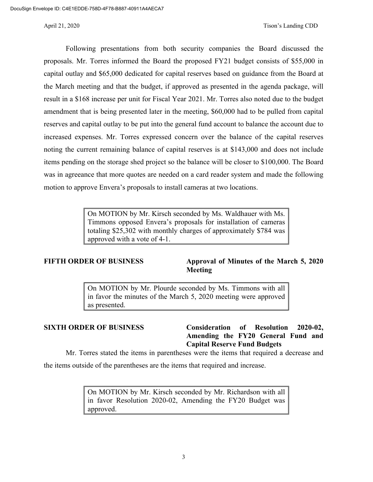Following presentations from both security companies the Board discussed the proposals. Mr. Torres informed the Board the proposed FY21 budget consists of \$55,000 in capital outlay and \$65,000 dedicated for capital reserves based on guidance from the Board at the March meeting and that the budget, if approved as presented in the agenda package, will result in a \$168 increase per unit for Fiscal Year 2021. Mr. Torres also noted due to the budget amendment that is being presented later in the meeting, \$60,000 had to be pulled from capital reserves and capital outlay to be put into the general fund account to balance the account due to increased expenses. Mr. Torres expressed concern over the balance of the capital reserves noting the current remaining balance of capital reserves is at \$143,000 and does not include items pending on the storage shed project so the balance will be closer to \$100,000. The Board was in agreeance that more quotes are needed on a card reader system and made the following motion to approve Envera's proposals to install cameras at two locations.

> On MOTION by Mr. Kirsch seconded by Ms. Waldhauer with Ms. Timmons opposed Envera's proposals for installation of cameras totaling \$25,302 with monthly charges of approximately \$784 was approved with a vote of 4-1.

## **FIFTH ORDER OF BUSINESS Approval of Minutes of the March 5, 2020 Meeting**

On MOTION by Mr. Plourde seconded by Ms. Timmons with all in favor the minutes of the March 5, 2020 meeting were approved as presented.

## **SIXTH ORDER OF BUSINESS Consideration of Resolution 2020-02, Amending the FY20 General Fund and Capital Reserve Fund Budgets**

Mr. Torres stated the items in parentheses were the items that required a decrease and

the items outside of the parentheses are the items that required and increase.

On MOTION by Mr. Kirsch seconded by Mr. Richardson with all in favor Resolution 2020-02, Amending the FY20 Budget was approved.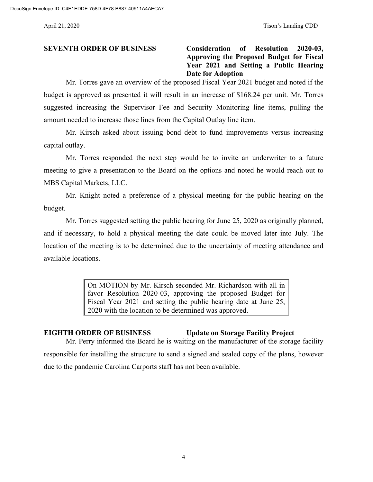**SEVENTH ORDER OF BUSINESS Consideration of Resolution 2020-03, Approving the Proposed Budget for Fiscal Year 2021 and Setting a Public Hearing Date for Adoption**

Mr. Torres gave an overview of the proposed Fiscal Year 2021 budget and noted if the budget is approved as presented it will result in an increase of \$168.24 per unit. Mr. Torres suggested increasing the Supervisor Fee and Security Monitoring line items, pulling the amount needed to increase those lines from the Capital Outlay line item.

Mr. Kirsch asked about issuing bond debt to fund improvements versus increasing capital outlay.

Mr. Torres responded the next step would be to invite an underwriter to a future meeting to give a presentation to the Board on the options and noted he would reach out to MBS Capital Markets, LLC.

Mr. Knight noted a preference of a physical meeting for the public hearing on the budget.

Mr. Torres suggested setting the public hearing for June 25, 2020 as originally planned, and if necessary, to hold a physical meeting the date could be moved later into July. The location of the meeting is to be determined due to the uncertainty of meeting attendance and available locations.

> On MOTION by Mr. Kirsch seconded Mr. Richardson with all in favor Resolution 2020-03, approving the proposed Budget for Fiscal Year 2021 and setting the public hearing date at June 25, 2020 with the location to be determined was approved.

## **EIGHTH ORDER OF BUSINESS Update on Storage Facility Project**

Mr. Perry informed the Board he is waiting on the manufacturer of the storage facility responsible for installing the structure to send a signed and sealed copy of the plans, however due to the pandemic Carolina Carports staff has not been available.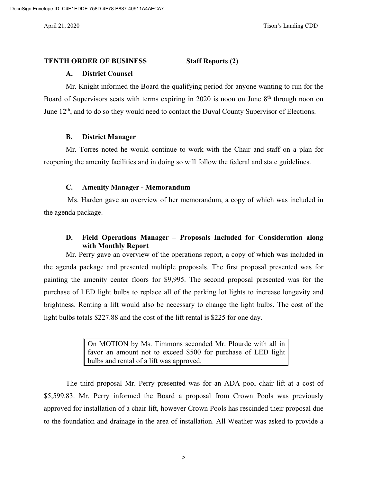#### **TENTH ORDER OF BUSINESS Staff Reports (2)**

### **A. District Counsel**

Mr. Knight informed the Board the qualifying period for anyone wanting to run for the Board of Supervisors seats with terms expiring in 2020 is noon on June  $8<sup>th</sup>$  through noon on June 12<sup>th</sup>, and to do so they would need to contact the Duval County Supervisor of Elections.

### **B. District Manager**

Mr. Torres noted he would continue to work with the Chair and staff on a plan for reopening the amenity facilities and in doing so will follow the federal and state guidelines.

### **C. Amenity Manager - Memorandum**

Ms. Harden gave an overview of her memorandum, a copy of which was included in the agenda package.

## **D. Field Operations Manager – Proposals Included for Consideration along with Monthly Report**

Mr. Perry gave an overview of the operations report, a copy of which was included in the agenda package and presented multiple proposals. The first proposal presented was for painting the amenity center floors for \$9,995. The second proposal presented was for the purchase of LED light bulbs to replace all of the parking lot lights to increase longevity and brightness. Renting a lift would also be necessary to change the light bulbs. The cost of the light bulbs totals \$227.88 and the cost of the lift rental is \$225 for one day.

> On MOTION by Ms. Timmons seconded Mr. Plourde with all in favor an amount not to exceed \$500 for purchase of LED light bulbs and rental of a lift was approved.

The third proposal Mr. Perry presented was for an ADA pool chair lift at a cost of \$5,599.83. Mr. Perry informed the Board a proposal from Crown Pools was previously approved for installation of a chair lift, however Crown Pools has rescinded their proposal due to the foundation and drainage in the area of installation. All Weather was asked to provide a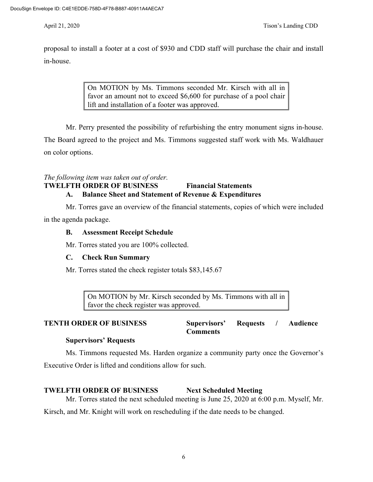proposal to install a footer at a cost of \$930 and CDD staff will purchase the chair and install in-house.

> On MOTION by Ms. Timmons seconded Mr. Kirsch with all in favor an amount not to exceed \$6,600 for purchase of a pool chair lift and installation of a footer was approved.

Mr. Perry presented the possibility of refurbishing the entry monument signs in-house.

The Board agreed to the project and Ms. Timmons suggested staff work with Ms. Waldhauer on color options.

# *The following item was taken out of order.* **TWELFTH ORDER OF BUSINESS Financial Statements A. Balance Sheet and Statement of Revenue & Expenditures**

Mr. Torres gave an overview of the financial statements, copies of which were included in the agenda package.

# **B. Assessment Receipt Schedule**

Mr. Torres stated you are 100% collected.

# **C. Check Run Summary**

Mr. Torres stated the check register totals \$83,145.67

On MOTION by Mr. Kirsch seconded by Ms. Timmons with all in favor the check register was approved.

### **TENTH ORDER OF BUSINESS Supervisors' Requests / Audience Comments**

# **Supervisors' Requests**

Ms. Timmons requested Ms. Harden organize a community party once the Governor's Executive Order is lifted and conditions allow for such.

# **TWELFTH ORDER OF BUSINESS Next Scheduled Meeting**

Mr. Torres stated the next scheduled meeting is June 25, 2020 at 6:00 p.m. Myself, Mr.

Kirsch, and Mr. Knight will work on rescheduling if the date needs to be changed.